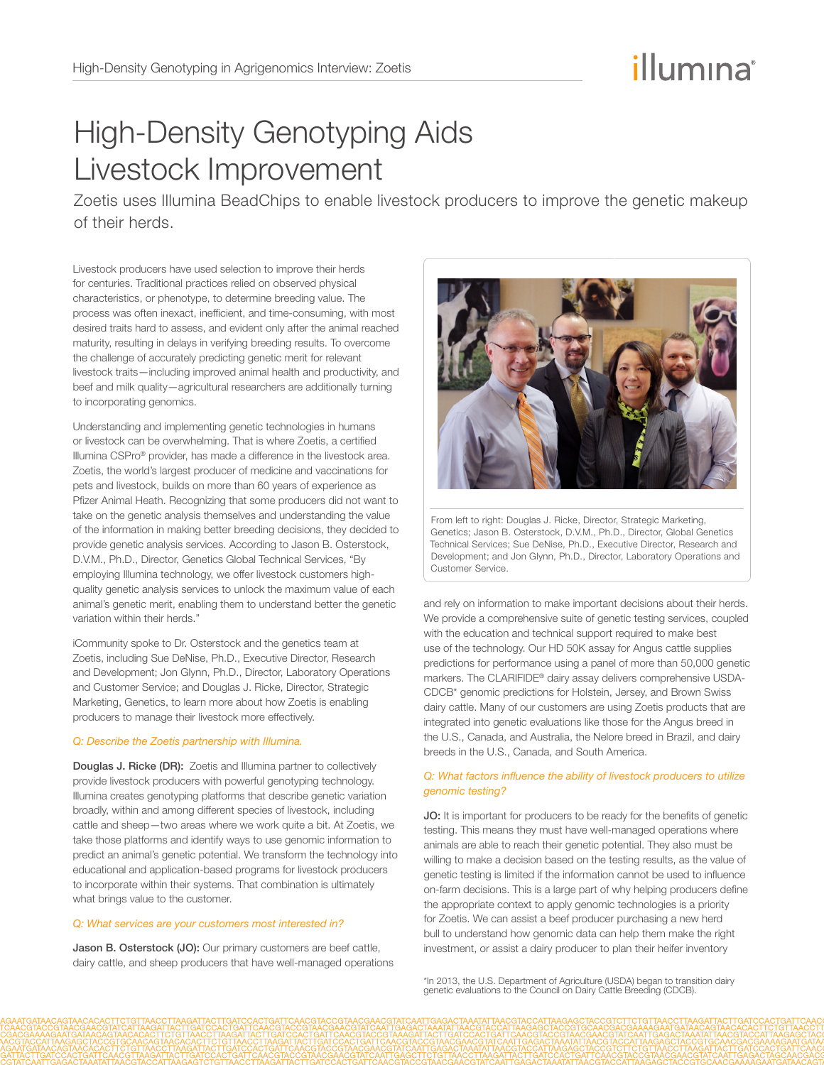# illumına

## High-Density Genotyping Aids Livestock Improvement

Zoetis uses Illumina BeadChips to enable livestock producers to improve the genetic makeup of their herds.

Livestock producers have used selection to improve their herds for centuries. Traditional practices relied on observed physical characteristics, or phenotype, to determine breeding value. The process was often inexact, inefficient, and time-consuming, with most desired traits hard to assess, and evident only after the animal reached maturity, resulting in delays in verifying breeding results. To overcome the challenge of accurately predicting genetic merit for relevant livestock traits—including improved animal health and productivity, and beef and milk quality—agricultural researchers are additionally turning to incorporating genomics.

Understanding and implementing genetic technologies in humans or livestock can be overwhelming. That is where Zoetis, a certified Illumina CSPro® provider, has made a difference in the livestock area. Zoetis, the world's largest producer of medicine and vaccinations for pets and livestock, builds on more than 60 years of experience as Pfizer Animal Heath. Recognizing that some producers did not want to take on the genetic analysis themselves and understanding the value of the information in making better breeding decisions, they decided to provide genetic analysis services. According to Jason B. Osterstock, D.V.M., Ph.D., Director, Genetics Global Technical Services, "By employing Illumina technology, we offer livestock customers highquality genetic analysis services to unlock the maximum value of each animal's genetic merit, enabling them to understand better the genetic variation within their herds."

iCommunity spoke to Dr. Osterstock and the genetics team at Zoetis, including Sue DeNise, Ph.D., Executive Director, Research and Development; Jon Glynn, Ph.D., Director, Laboratory Operations and Customer Service; and Douglas J. Ricke, Director, Strategic Marketing, Genetics, to learn more about how Zoetis is enabling producers to manage their livestock more effectively.

#### *Q: Describe the Zoetis partnership with Illumina.*

Douglas J. Ricke (DR): Zoetis and Illumina partner to collectively provide livestock producers with powerful genotyping technology. Illumina creates genotyping platforms that describe genetic variation broadly, within and among different species of livestock, including cattle and sheep—two areas where we work quite a bit. At Zoetis, we take those platforms and identify ways to use genomic information to predict an animal's genetic potential. We transform the technology into educational and application-based programs for livestock producers to incorporate within their systems. That combination is ultimately what brings value to the customer.

#### *Q: What services are your customers most interested in?*

Jason B. Osterstock (JO): Our primary customers are beef cattle, dairy cattle, and sheep producers that have well-managed operations



From left to right: Douglas J. Ricke, Director, Strategic Marketing, Genetics; Jason B. Osterstock, D.V.M., Ph.D., Director, Global Genetics Technical Services; Sue DeNise, Ph.D., Executive Director, Research and Development; and Jon Glynn, Ph.D., Director, Laboratory Operations and Customer Service.

and rely on information to make important decisions about their herds. We provide a comprehensive suite of genetic testing services, coupled with the education and technical support required to make best use of the technology. Our HD 50K assay for Angus cattle supplies predictions for performance using a panel of more than 50,000 genetic markers. The CLARIFIDE® dairy assay delivers comprehensive USDA-CDCB\* genomic predictions for Holstein, Jersey, and Brown Swiss dairy cattle. Many of our customers are using Zoetis products that are integrated into genetic evaluations like those for the Angus breed in the U.S., Canada, and Australia, the Nelore breed in Brazil, and dairy breeds in the U.S., Canada, and South America.

#### *Q: What factors influence the ability of livestock producers to utilize genomic testing?*

JO: It is important for producers to be ready for the benefits of genetic testing. This means they must have well-managed operations where animals are able to reach their genetic potential. They also must be willing to make a decision based on the testing results, as the value of genetic testing is limited if the information cannot be used to influence on-farm decisions. This is a large part of why helping producers define the appropriate context to apply genomic technologies is a priority for Zoetis. We can assist a beef producer purchasing a new herd bull to understand how genomic data can help them make the right investment, or assist a dairy producer to plan their heifer inventory

\*In 2013, the U.S. Department of Agriculture (USDA) began to transition dairy genetic evaluations to the Council on Dairy Cattle Breeding (CDCB).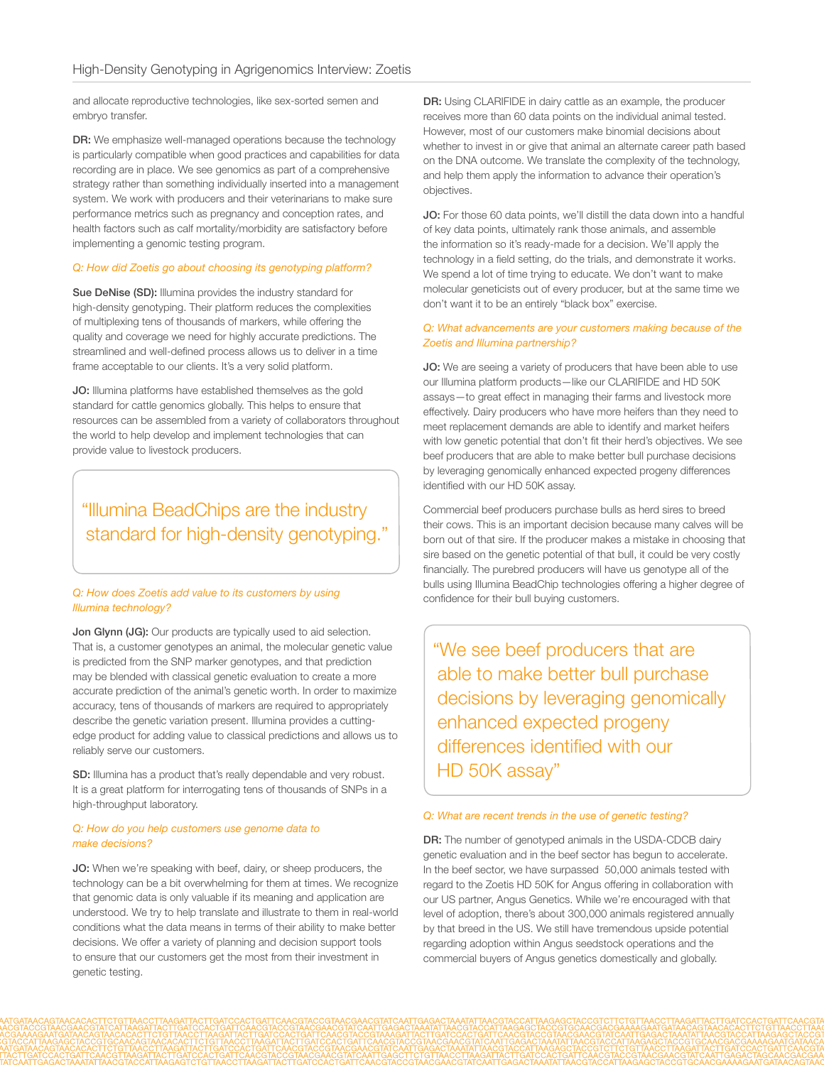and allocate reproductive technologies, like sex-sorted semen and embryo transfer.

DR: We emphasize well-managed operations because the technology is particularly compatible when good practices and capabilities for data recording are in place. We see genomics as part of a comprehensive strategy rather than something individually inserted into a management system. We work with producers and their veterinarians to make sure performance metrics such as pregnancy and conception rates, and health factors such as calf mortality/morbidity are satisfactory before implementing a genomic testing program.

#### *Q: How did Zoetis go about choosing its genotyping platform?*

Sue DeNise (SD): Illumina provides the industry standard for high-density genotyping. Their platform reduces the complexities of multiplexing tens of thousands of markers, while offering the quality and coverage we need for highly accurate predictions. The streamlined and well-defined process allows us to deliver in a time frame acceptable to our clients. It's a very solid platform.

JO: Illumina platforms have established themselves as the gold standard for cattle genomics globally. This helps to ensure that resources can be assembled from a variety of collaborators throughout the world to help develop and implement technologies that can provide value to livestock producers.

### "Illumina BeadChips are the industry standard for high-density genotyping."

#### *Q: How does Zoetis add value to its customers by using Illumina technology?*

**Jon Glynn (JG):** Our products are typically used to aid selection. That is, a customer genotypes an animal, the molecular genetic value is predicted from the SNP marker genotypes, and that prediction may be blended with classical genetic evaluation to create a more accurate prediction of the animal's genetic worth. In order to maximize accuracy, tens of thousands of markers are required to appropriately describe the genetic variation present. Illumina provides a cuttingedge product for adding value to classical predictions and allows us to reliably serve our customers.

SD: Illumina has a product that's really dependable and very robust. It is a great platform for interrogating tens of thousands of SNPs in a high-throughput laboratory.

#### *Q: How do you help customers use genome data to make decisions?*

JO: When we're speaking with beef, dairy, or sheep producers, the technology can be a bit overwhelming for them at times. We recognize that genomic data is only valuable if its meaning and application are understood. We try to help translate and illustrate to them in real-world conditions what the data means in terms of their ability to make better decisions. We offer a variety of planning and decision support tools to ensure that our customers get the most from their investment in genetic testing.

DR: Using CLARIFIDE in dairy cattle as an example, the producer receives more than 60 data points on the individual animal tested. However, most of our customers make binomial decisions about whether to invest in or give that animal an alternate career path based on the DNA outcome. We translate the complexity of the technology, and help them apply the information to advance their operation's objectives.

JO: For those 60 data points, we'll distill the data down into a handful of key data points, ultimately rank those animals, and assemble the information so it's ready-made for a decision. We'll apply the technology in a field setting, do the trials, and demonstrate it works. We spend a lot of time trying to educate. We don't want to make molecular geneticists out of every producer, but at the same time we don't want it to be an entirely "black box" exercise.

#### *Q: What advancements are your customers making because of the Zoetis and Illumina partnership?*

JO: We are seeing a variety of producers that have been able to use our Illumina platform products—like our CLARIFIDE and HD 50K assays—to great effect in managing their farms and livestock more effectively. Dairy producers who have more heifers than they need to meet replacement demands are able to identify and market heifers with low genetic potential that don't fit their herd's objectives. We see beef producers that are able to make better bull purchase decisions by leveraging genomically enhanced expected progeny differences identified with our HD 50K assay.

Commercial beef producers purchase bulls as herd sires to breed their cows. This is an important decision because many calves will be born out of that sire. If the producer makes a mistake in choosing that sire based on the genetic potential of that bull, it could be very costly financially. The purebred producers will have us genotype all of the bulls using Illumina BeadChip technologies offering a higher degree of confidence for their bull buying customers.

"We see beef producers that are able to make better bull purchase decisions by leveraging genomically enhanced expected progeny differences identified with our HD 50K assay"

#### *Q: What are recent trends in the use of genetic testing?*

DR: The number of genotyped animals in the USDA-CDCB dairy genetic evaluation and in the beef sector has begun to accelerate. In the beef sector, we have surpassed 50,000 animals tested with regard to the Zoetis HD 50K for Angus offering in collaboration with our US partner, Angus Genetics. While we're encouraged with that level of adoption, there's about 300,000 animals registered annually by that breed in the US. We still have tremendous upside potential regarding adoption within Angus seedstock operations and the commercial buyers of Angus genetics domestically and globally.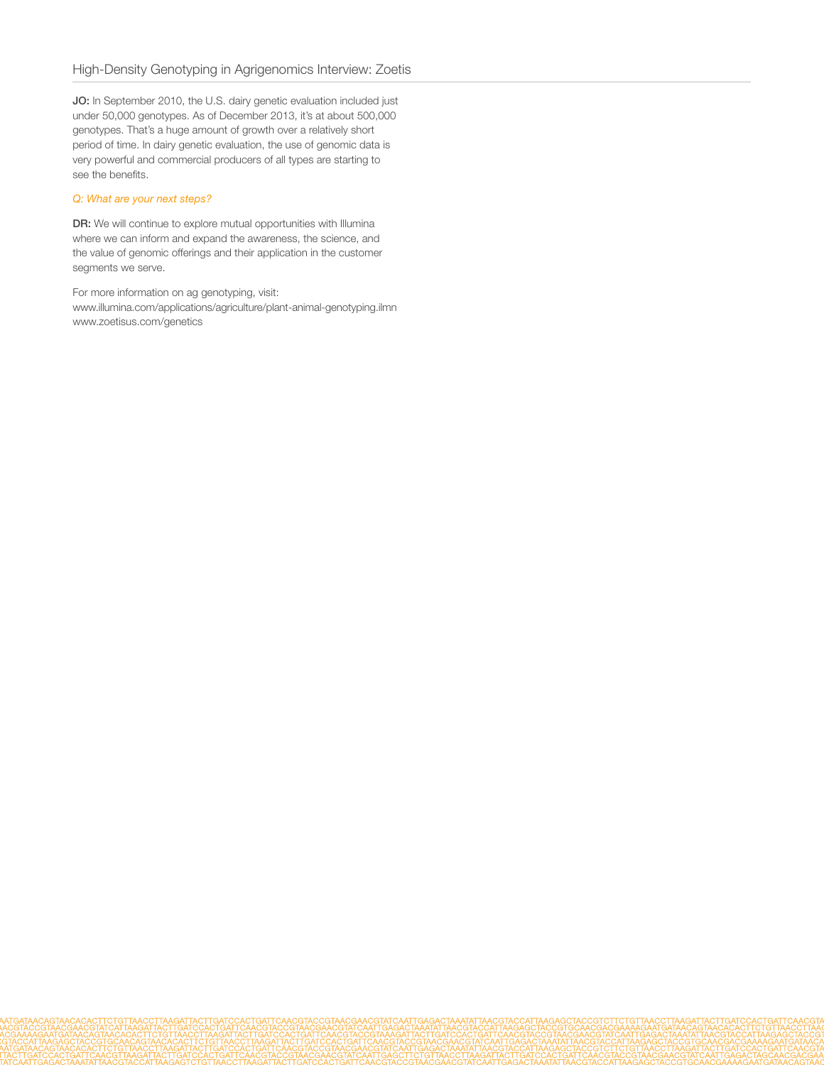JO: In September 2010, the U.S. dairy genetic evaluation included just under 50,000 genotypes. As of December 2013, it's at about 500,000 genotypes. That's a huge amount of growth over a relatively short period of time. In dairy genetic evaluation, the use of genomic data is very powerful and commercial producers of all types are starting to see the benefits.

#### *Q: What are your next steps?*

DR: We will continue to explore mutual opportunities with Illumina where we can inform and expand the awareness, the science, and the value of genomic offerings and their application in the customer segments we serve.

For more information on ag genotyping, visit:

[www.illumina.com/applications/agriculture/plant-animal-genotyping.ilmn](http://www.illumina.com/applications/agriculture/plant-animal-genotyping.ilmn)  [www.zoetisus.com/genetics](http://www.zoetisus.com/genetics)